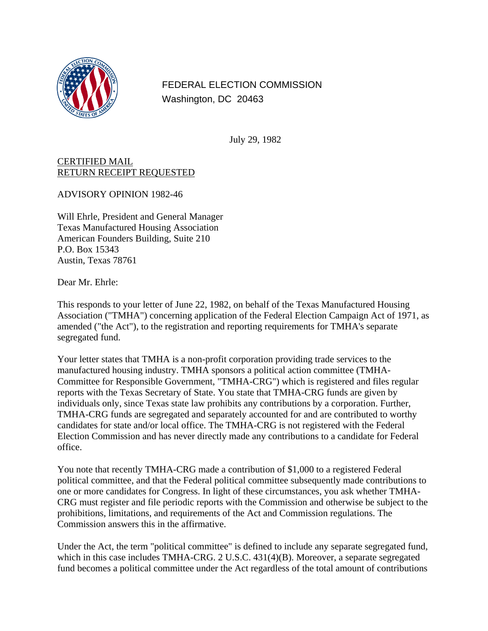

FEDERAL ELECTION COMMISSION Washington, DC 20463

July 29, 1982

## CERTIFIED MAIL RETURN RECEIPT REQUESTED

ADVISORY OPINION 1982-46

Will Ehrle, President and General Manager Texas Manufactured Housing Association American Founders Building, Suite 210 P.O. Box 15343 Austin, Texas 78761

Dear Mr. Ehrle:

This responds to your letter of June 22, 1982, on behalf of the Texas Manufactured Housing Association ("TMHA") concerning application of the Federal Election Campaign Act of 1971, as amended ("the Act"), to the registration and reporting requirements for TMHA's separate segregated fund.

Your letter states that TMHA is a non-profit corporation providing trade services to the manufactured housing industry. TMHA sponsors a political action committee (TMHA-Committee for Responsible Government, "TMHA-CRG") which is registered and files regular reports with the Texas Secretary of State. You state that TMHA-CRG funds are given by individuals only, since Texas state law prohibits any contributions by a corporation. Further, TMHA-CRG funds are segregated and separately accounted for and are contributed to worthy candidates for state and/or local office. The TMHA-CRG is not registered with the Federal Election Commission and has never directly made any contributions to a candidate for Federal office.

You note that recently TMHA-CRG made a contribution of \$1,000 to a registered Federal political committee, and that the Federal political committee subsequently made contributions to one or more candidates for Congress. In light of these circumstances, you ask whether TMHA-CRG must register and file periodic reports with the Commission and otherwise be subject to the prohibitions, limitations, and requirements of the Act and Commission regulations. The Commission answers this in the affirmative.

Under the Act, the term "political committee" is defined to include any separate segregated fund, which in this case includes TMHA-CRG. 2 U.S.C. 431(4)(B). Moreover, a separate segregated fund becomes a political committee under the Act regardless of the total amount of contributions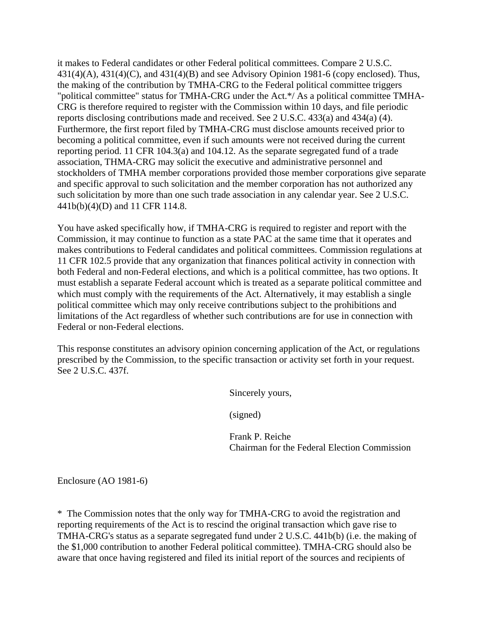it makes to Federal candidates or other Federal political committees. Compare 2 U.S.C.  $431(4)(A)$ ,  $431(4)(C)$ , and  $431(4)(B)$  and see Advisory Opinion 1981-6 (copy enclosed). Thus, the making of the contribution by TMHA-CRG to the Federal political committee triggers "political committee" status for TMHA-CRG under the Act.\*/ As a political committee TMHA-CRG is therefore required to register with the Commission within 10 days, and file periodic reports disclosing contributions made and received. See 2 U.S.C. 433(a) and 434(a) (4). Furthermore, the first report filed by TMHA-CRG must disclose amounts received prior to becoming a political committee, even if such amounts were not received during the current reporting period. 11 CFR 104.3(a) and 104.12. As the separate segregated fund of a trade association, THMA-CRG may solicit the executive and administrative personnel and stockholders of TMHA member corporations provided those member corporations give separate and specific approval to such solicitation and the member corporation has not authorized any such solicitation by more than one such trade association in any calendar year. See 2 U.S.C. 441b(b)(4)(D) and 11 CFR 114.8.

You have asked specifically how, if TMHA-CRG is required to register and report with the Commission, it may continue to function as a state PAC at the same time that it operates and makes contributions to Federal candidates and political committees. Commission regulations at 11 CFR 102.5 provide that any organization that finances political activity in connection with both Federal and non-Federal elections, and which is a political committee, has two options. It must establish a separate Federal account which is treated as a separate political committee and which must comply with the requirements of the Act. Alternatively, it may establish a single political committee which may only receive contributions subject to the prohibitions and limitations of the Act regardless of whether such contributions are for use in connection with Federal or non-Federal elections.

This response constitutes an advisory opinion concerning application of the Act, or regulations prescribed by the Commission, to the specific transaction or activity set forth in your request. See 2 U.S.C. 437f.

Sincerely yours,

(signed)

Frank P. Reiche Chairman for the Federal Election Commission

Enclosure (AO 1981-6)

\* The Commission notes that the only way for TMHA-CRG to avoid the registration and reporting requirements of the Act is to rescind the original transaction which gave rise to TMHA-CRG's status as a separate segregated fund under 2 U.S.C. 441b(b) (i.e. the making of the \$1,000 contribution to another Federal political committee). TMHA-CRG should also be aware that once having registered and filed its initial report of the sources and recipients of